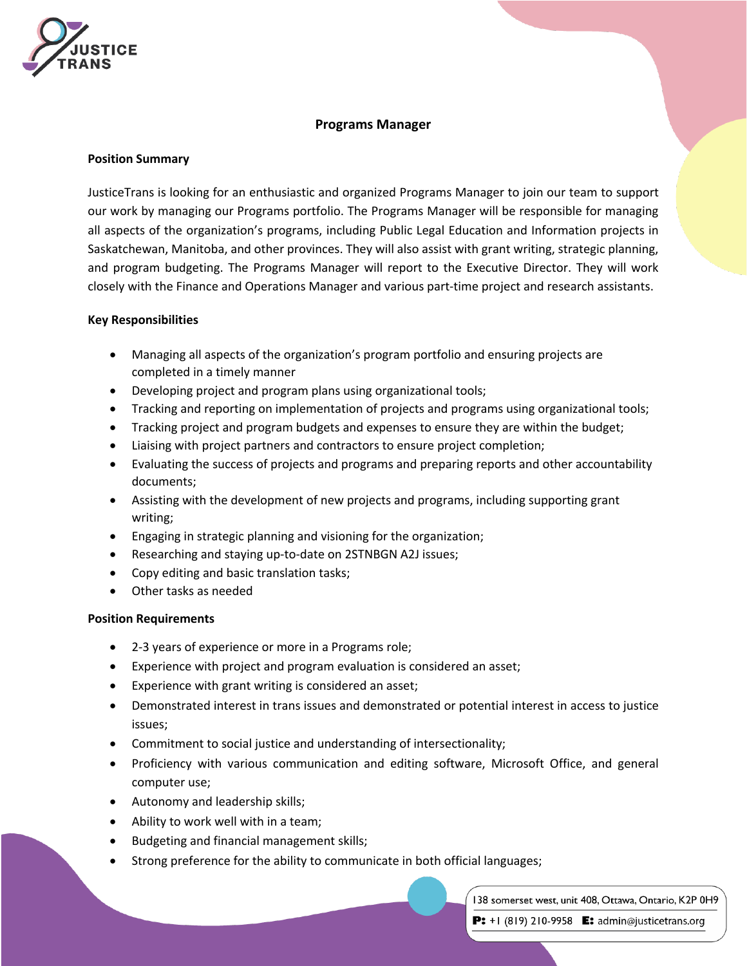

# **Programs Manager**

#### **Position Summary**

JusticeTrans is looking for an enthusiastic and organized Programs Manager to join our team to support our work by managing our Programs portfolio. The Programs Manager will be responsible for managing all aspects of the organization's programs, including Public Legal Education and Information projects in Saskatchewan, Manitoba, and other provinces. They will also assist with grant writing, strategic planning, and program budgeting. The Programs Manager will report to the Executive Director. They will work closely with the Finance and Operations Manager and various part-time project and research assistants.

#### **Key Responsibilities**

- Managing all aspects of the organization's program portfolio and ensuring projects are completed in a timely manner
- Developing project and program plans using organizational tools;
- Tracking and reporting on implementation of projects and programs using organizational tools;
- Tracking project and program budgets and expenses to ensure they are within the budget;
- Liaising with project partners and contractors to ensure project completion;
- Evaluating the success of projects and programs and preparing reports and other accountability documents;
- Assisting with the development of new projects and programs, including supporting grant writing;
- Engaging in strategic planning and visioning for the organization;
- Researching and staying up-to-date on 2STNBGN A2J issues;
- Copy editing and basic translation tasks;
- Other tasks as needed

### **Position Requirements**

- 2-3 years of experience or more in a Programs role;
- Experience with project and program evaluation is considered an asset;
- Experience with grant writing is considered an asset;
- Demonstrated interest in trans issues and demonstrated or potential interest in access to justice issues;
- Commitment to social justice and understanding of intersectionality;
- Proficiency with various communication and editing software, Microsoft Office, and general computer use;
- Autonomy and leadership skills;
- Ability to work well with in a team;
- Budgeting and financial management skills;
- Strong preference for the ability to communicate in both official languages;

138 somerset west, unit 408, Ottawa, Ontario, K2P 0H9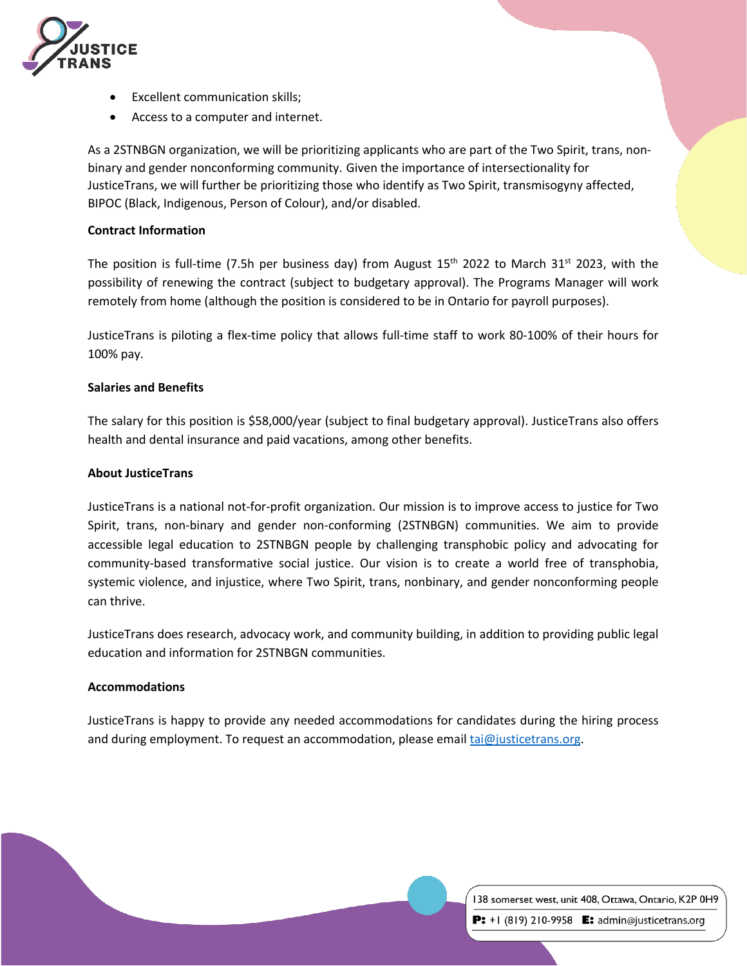

- Excellent communication skills;
- Access to a computer and internet.

As a 2STNBGN organization, we will be prioritizing applicants who are part of the Two Spirit, trans, nonbinary and gender nonconforming community. Given the importance of intersectionality for JusticeTrans, we will further be prioritizing those who identify as Two Spirit, transmisogyny affected, BIPOC (Black, Indigenous, Person of Colour), and/or disabled.

#### **Contract Information**

The position is full-time (7.5h per business day) from August  $15<sup>th</sup>$  2022 to March 31<sup>st</sup> 2023, with the possibility of renewing the contract (subject to budgetary approval). The Programs Manager will work remotely from home (although the position is considered to be in Ontario for payroll purposes).

JusticeTrans is piloting a flex-time policy that allows full-time staff to work 80-100% of their hours for 100% pay.

#### **Salaries and Benefits**

The salary for this position is \$58,000/year (subject to final budgetary approval). JusticeTrans also offers health and dental insurance and paid vacations, among other benefits.

#### **About JusticeTrans**

JusticeTrans is a national not-for-profit organization. Our mission is to improve access to justice for Two Spirit, trans, non-binary and gender non-conforming (2STNBGN) communities. We aim to provide accessible legal education to 2STNBGN people by challenging transphobic policy and advocating for community-based transformative social justice. Our vision is to create a world free of transphobia, systemic violence, and injustice, where Two Spirit, trans, nonbinary, and gender nonconforming people can thrive.

JusticeTrans does research, advocacy work, and community building, in addition to providing public legal education and information for 2STNBGN communities.

#### **Accommodations**

JusticeTrans is happy to provide any needed accommodations for candidates during the hiring process and during employment. To request an accommodation, please email tai@justicetrans.org.

138 somerset west, unit 408, Ottawa, Ontario, K2P 0H9

**P:** +1 (819) 210-9958 **E:** admin@justicetrans.org